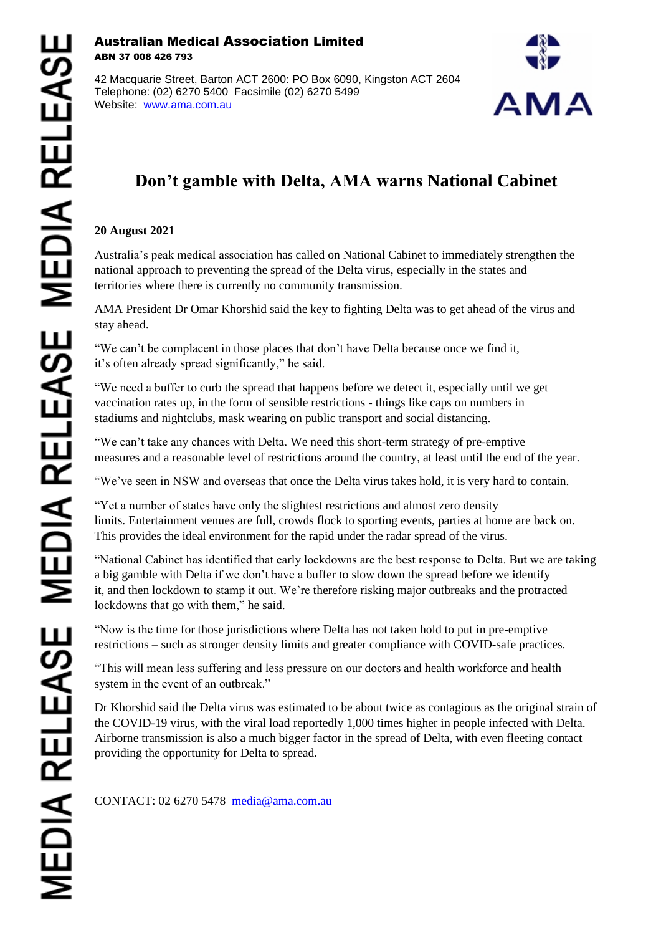## Australian Medical Association Limited ABN 37 008 426 793

42 Macquarie Street, Barton ACT 2600: PO Box 6090, Kingston ACT 2604 Telephone: (02) 6270 5400 Facsimile (02) 6270 5499 Website: [www.ama.com.au](http://www.ama.com.au/)



## **Don't gamble with Delta, AMA warns National Cabinet**

## **20 August 2021**

Australia's peak medical association has called on National Cabinet to immediately strengthen the national approach to preventing the spread of the Delta virus, especially in the states and territories where there is currently no community transmission.

AMA President Dr Omar Khorshid said the key to fighting Delta was to get ahead of the virus and stay ahead.

"We can't be complacent in those places that don't have Delta because once we find it, it's often already spread significantly," he said.

"We need a buffer to curb the spread that happens before we detect it, especially until we get vaccination rates up, in the form of sensible restrictions - things like caps on numbers in stadiums and nightclubs, mask wearing on public transport and social distancing.

"We can't take any chances with Delta. We need this short-term strategy of pre-emptive measures and a reasonable level of restrictions around the country, at least until the end of the year.

"We've seen in NSW and overseas that once the Delta virus takes hold, it is very hard to contain.

"Yet a number of states have only the slightest restrictions and almost zero density limits. Entertainment venues are full, crowds flock to sporting events, parties at home are back on. This provides the ideal environment for the rapid under the radar spread of the virus.

"National Cabinet has identified that early lockdowns are the best response to Delta. But we are taking a big gamble with Delta if we don't have a buffer to slow down the spread before we identify it, and then lockdown to stamp it out. We're therefore risking major outbreaks and the protracted lockdowns that go with them," he said.

"Now is the time for those jurisdictions where Delta has not taken hold to put in pre-emptive restrictions – such as stronger density limits and greater compliance with COVID-safe practices.

"This will mean less suffering and less pressure on our doctors and health workforce and health system in the event of an outbreak."

Dr Khorshid said the Delta virus was estimated to be about twice as contagious as the original strain of the COVID-19 virus, with the viral load reportedly 1,000 times higher in people infected with Delta. Airborne transmission is also a much bigger factor in the spread of Delta, with even fleeting contact providing the opportunity for Delta to spread.

CONTACT: 02 6270 5478 [media@ama.com.au](mailto:media@ama.com.au)